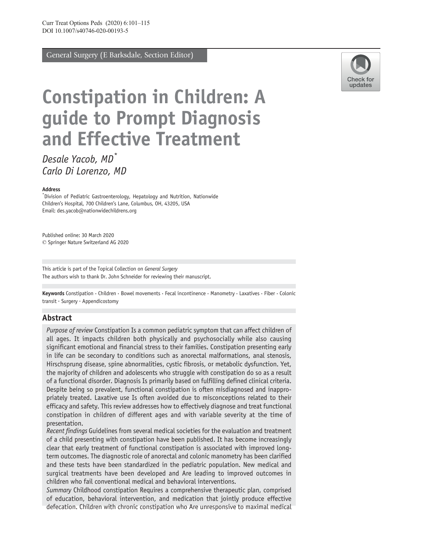General Surgery (E Barksdale, Section Editor)



# Constipation in Children: A guide to Prompt Diagnosis and Effective Treatment

Desale Yacob, MD\* Carlo Di Lorenzo, MD

#### Address

\* Division of Pediatric Gastroenterology, Hepatology and Nutrition, Nationwide Children's Hospital, 700 Children's Lane, Columbus, OH, 43205, USA Email: des.yacob@nationwidechildrens.org

 $\circ$  Springer Nature Switzerland AG 2020 Published online: 30 March 2020

This article is part of the Topical Collection on General Surgery The authors wish to thank Dr. John Schneider for reviewing their manuscript.

Keywords Constipation · Children · Bowel movements · Fecal incontinence · Manometry · Laxatives · Fiber · Colonic transit · Surgery · Appendicostomy

#### Abstract

Purpose of review Constipation Is a common pediatric symptom that can affect children of all ages. It impacts children both physically and psychosocially while also causing significant emotional and financial stress to their families. Constipation presenting early in life can be secondary to conditions such as anorectal malformations, anal stenosis, Hirschsprung disease, spine abnormalities, cystic fibrosis, or metabolic dysfunction. Yet, the majority of children and adolescents who struggle with constipation do so as a result of a functional disorder. Diagnosis Is primarily based on fulfilling defined clinical criteria. Despite being so prevalent, functional constipation is often misdiagnosed and inappropriately treated. Laxative use Is often avoided due to misconceptions related to their efficacy and safety. This review addresses how to effectively diagnose and treat functional constipation in children of different ages and with variable severity at the time of presentation.

Recent findings Guidelines from several medical societies for the evaluation and treatment of a child presenting with constipation have been published. It has become increasingly clear that early treatment of functional constipation is associated with improved longterm outcomes. The diagnostic role of anorectal and colonic manometry has been clarified and these tests have been standardized in the pediatric population. New medical and surgical treatments have been developed and Are leading to improved outcomes in children who fail conventional medical and behavioral interventions.

Summary Childhood constipation Requires a comprehensive therapeutic plan, comprised of education, behavioral intervention, and medication that jointly produce effective defecation. Children with chronic constipation who Are unresponsive to maximal medical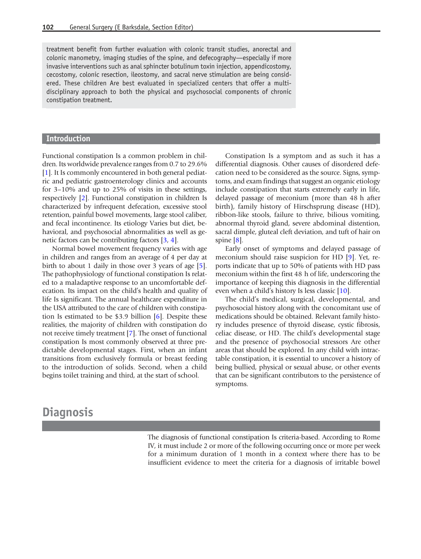treatment benefit from further evaluation with colonic transit studies, anorectal and colonic manometry, imaging studies of the spine, and defecography—especially if more invasive interventions such as anal sphincter botulinum toxin injection, appendicostomy, cecostomy, colonic resection, ileostomy, and sacral nerve stimulation are being considered. These children Are best evaluated in specialized centers that offer a multidisciplinary approach to both the physical and psychosocial components of chronic constipation treatment.

#### Introduction

Functional constipation Is a common problem in children. Its worldwide prevalence ranges from 0.7 to 29.6% [\[1\]](#page-11-0). It Is commonly encountered in both general pediatric and pediatric gastroenterology clinics and accounts for 3–10% and up to 25% of visits in these settings, respectively [\[2\]](#page-11-0). Functional constipation in children Is characterized by infrequent defecation, excessive stool retention, painful bowel movements, large stool caliber, and fecal incontinence. Its etiology Varies but diet, behavioral, and psychosocial abnormalities as well as genetic factors can be contributing factors [[3](#page-11-0), [4\]](#page-12-0).

Normal bowel movement frequency varies with age in children and ranges from an average of 4 per day at birth to about 1 daily in those over 3 years of age [[5](#page-12-0)]. The pathophysiology of functional constipation Is related to a maladaptive response to an uncomfortable defecation. Its impact on the child's health and quality of life Is significant. The annual healthcare expenditure in the USA attributed to the care of children with constipation Is estimated to be \$3.9 billion [[6](#page-12-0)]. Despite these realities, the majority of children with constipation do not receive timely treatment [\[7\]](#page-12-0). The onset of functional constipation Is most commonly observed at three predictable developmental stages. First, when an infant transitions from exclusively formula or breast feeding to the introduction of solids. Second, when a child begins toilet training and third, at the start of school.

Constipation Is a symptom and as such it has a differential diagnosis. Other causes of disordered defecation need to be considered as the source. Signs, symptoms, and exam findings that suggest an organic etiology include constipation that starts extremely early in life, delayed passage of meconium (more than 48 h after birth), family history of Hirschsprung disease (HD), ribbon-like stools, failure to thrive, bilious vomiting, abnormal thyroid gland, severe abdominal distention, sacral dimple, gluteal cleft deviation, and tuft of hair on spine [\[8\]](#page-12-0).

Early onset of symptoms and delayed passage of meconium should raise suspicion for HD [[9](#page-12-0)]. Yet, reports indicate that up to 50% of patients with HD pass meconium within the first 48 h of life, underscoring the importance of keeping this diagnosis in the differential even when a child's history Is less classic [\[10](#page-12-0)].

The child's medical, surgical, developmental, and psychosocial history along with the concomitant use of medications should be obtained. Relevant family history includes presence of thyroid disease, cystic fibrosis, celiac disease, or HD. The child's developmental stage and the presence of psychosocial stressors Are other areas that should be explored. In any child with intractable constipation, it is essential to uncover a history of being bullied, physical or sexual abuse, or other events that can be significant contributors to the persistence of symptoms.

#### **Diagnosis**

The diagnosis of functional constipation Is criteria-based. According to Rome IV, it must include 2 or more of the following occurring once or more per week for a minimum duration of 1 month in a context where there has to be insufficient evidence to meet the criteria for a diagnosis of irritable bowel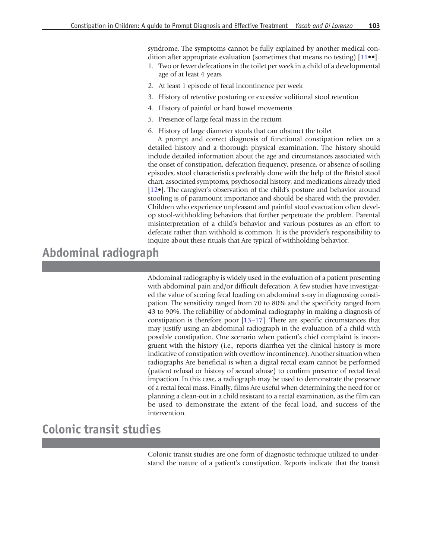syndrome. The symptoms cannot be fully explained by another medical con-dition after appropriate evaluation (sometimes that means no testing) [[11](#page-12-0)••].

- 1. Two or fewer defecations in the toilet per week in a child of a developmental age of at least 4 years
- 2. At least 1 episode of fecal incontinence per week
- 3. History of retentive posturing or excessive volitional stool retention
- 4. History of painful or hard bowel movements
- 5. Presence of large fecal mass in the rectum
- 6. History of large diameter stools that can obstruct the toilet

A prompt and correct diagnosis of functional constipation relies on a detailed history and a thorough physical examination. The history should include detailed information about the age and circumstances associated with the onset of constipation, defecation frequency, presence, or absence of soiling episodes, stool characteristics preferably done with the help of the Bristol stool chart, associated symptoms, psychosocial history, and medications already tried [[12](#page-12-0)•]. The caregiver's observation of the child's posture and behavior around stooling is of paramount importance and should be shared with the provider. Children who experience unpleasant and painful stool evacuation often develop stool-withholding behaviors that further perpetuate the problem. Parental misinterpretation of a child's behavior and various postures as an effort to defecate rather than withhold is common. It is the provider's responsibility to inquire about these rituals that Are typical of withholding behavior.

#### Abdominal radiograph

Abdominal radiography is widely used in the evaluation of a patient presenting with abdominal pain and/or difficult defecation. A few studies have investigated the value of scoring fecal loading on abdominal x-ray in diagnosing constipation. The sensitivity ranged from 70 to 80% and the specificity ranged from 43 to 90%. The reliability of abdominal radiography in making a diagnosis of constipation is therefore poor [[13](#page-12-0)–[17\]](#page-12-0). There are specific circumstances that may justify using an abdominal radiograph in the evaluation of a child with possible constipation. One scenario when patient's chief complaint is incongruent with the history (i.e., reports diarrhea yet the clinical history is more indicative of constipation with overflow incontinence). Another situation when radiographs Are beneficial is when a digital rectal exam cannot be performed (patient refusal or history of sexual abuse) to confirm presence of rectal fecal impaction. In this case, a radiograph may be used to demonstrate the presence of a rectal fecal mass. Finally, films Are useful when determining the need for or planning a clean-out in a child resistant to a rectal examination, as the film can be used to demonstrate the extent of the fecal load, and success of the intervention.

#### Colonic transit studies

Colonic transit studies are one form of diagnostic technique utilized to understand the nature of a patient's constipation. Reports indicate that the transit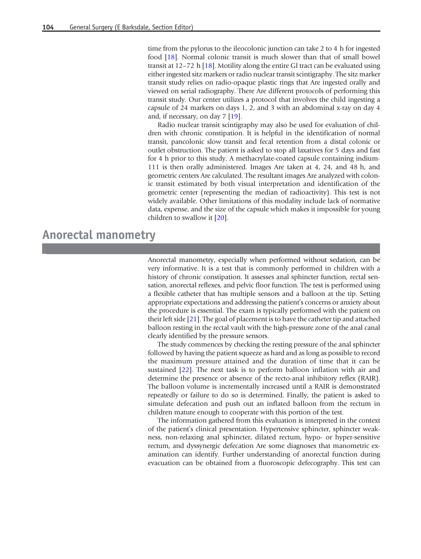time from the pylorus to the ileocolonic junction can take 2 to 4 h for ingested food [\[18](#page-12-0)]. Normal colonic transit is much slower than that of small bowel transit at 12–72 h [\[18](#page-12-0)]. Motility along the entire GI tract can be evaluated using either ingested sitz markers or radio nuclear transit scintigraphy. The sitz marker transit study relies on radio-opaque plastic rings that Are ingested orally and viewed on serial radiography. There Are different protocols of performing this transit study. Our center utilizes a protocol that involves the child ingesting a capsule of 24 markers on days 1, 2, and 3 with an abdominal x-ray on day 4 and, if necessary, on day 7 [\[19\]](#page-12-0).

Radio nuclear transit scintigraphy may also be used for evaluation of children with chronic constipation. It is helpful in the identification of normal transit, pancolonic slow transit and fecal retention from a distal colonic or outlet obstruction. The patient is asked to stop all laxatives for 5 days and fast for 4 h prior to this study. A methacrylate-coated capsule containing indium-111 is then orally administered. Images Are taken at 4, 24, and 48 h, and geometric centers Are calculated. The resultant images Are analyzed with colonic transit estimated by both visual interpretation and identification of the geometric center (representing the median of radioactivity). This test is not widely available. Other limitations of this modality include lack of normative data, expense, and the size of the capsule which makes it impossible for young children to swallow it [[20](#page-12-0)].

#### Anorectal manometry

Anorectal manometry, especially when performed without sedation, can be very informative. It is a test that is commonly performed in children with a history of chronic constipation. It assesses anal sphincter function, rectal sensation, anorectal reflexes, and pelvic floor function. The test is performed using a flexible catheter that has multiple sensors and a balloon at the tip. Setting appropriate expectations and addressing the patient's concerns or anxiety about the procedure is essential. The exam is typically performed with the patient on their left side [\[21\]](#page-12-0). The goal of placement is to have the catheter tip and attached balloon resting in the rectal vault with the high-pressure zone of the anal canal clearly identified by the pressure sensors.

The study commences by checking the resting pressure of the anal sphincter followed by having the patient squeeze as hard and as long as possible to record the maximum pressure attained and the duration of time that it can be sustained [\[22\]](#page-12-0). The next task is to perform balloon inflation with air and determine the presence or absence of the recto-anal inhibitory reflex (RAIR). The balloon volume is incrementally increased until a RAIR is demonstrated repeatedly or failure to do so is determined. Finally, the patient is asked to simulate defecation and push out an inflated balloon from the rectum in children mature enough to cooperate with this portion of the test.

The information gathered from this evaluation is interpreted in the context of the patient's clinical presentation. Hypertensive sphincter, sphincter weakness, non-relaxing anal sphincter, dilated rectum, hypo- or hyper-sensitive rectum, and dyssynergic defecation Are some diagnoses that manometric examination can identify. Further understanding of anorectal function during evacuation can be obtained from a fluoroscopic defecography. This test can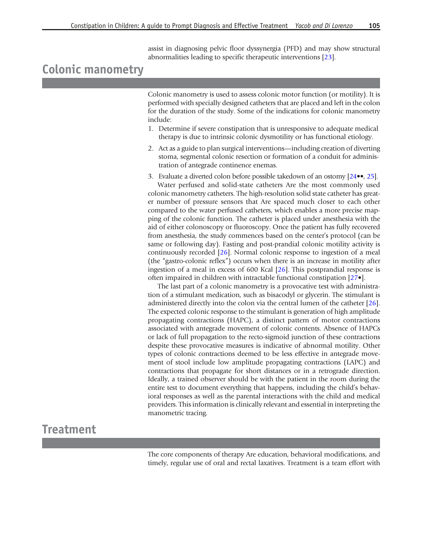assist in diagnosing pelvic floor dyssynergia (PFD) and may show structural abnormalities leading to specific therapeutic interventions [[23\]](#page-12-0).

#### Colonic manometry

Colonic manometry is used to assess colonic motor function (or motility). It is performed with specially designed catheters that are placed and left in the colon for the duration of the study. Some of the indications for colonic manometry include:

- 1. Determine if severe constipation that is unresponsive to adequate medical therapy is due to intrinsic colonic dysmotility or has functional etiology.
- 2. Act as a guide to plan surgical interventions—including creation of diverting stoma, segmental colonic resection or formation of a conduit for administration of antegrade continence enemas.
- 3. Evaluate a diverted colon before possible takedown of an ostomy [\[24](#page-12-0)••, [25\]](#page-12-0).

Water perfused and solid-state catheters Are the most commonly used colonic manometry catheters. The high-resolution solid state catheter has greater number of pressure sensors that Are spaced much closer to each other compared to the water perfused catheters, which enables a more precise mapping of the colonic function. The catheter is placed under anesthesia with the aid of either colonoscopy or fluoroscopy. Once the patient has fully recovered from anesthesia, the study commences based on the center's protocol (can be same or following day). Fasting and post-prandial colonic motility activity is continuously recorded [\[26](#page-12-0)]. Normal colonic response to ingestion of a meal (the "gastro-colonic reflex") occurs when there is an increase in motility after ingestion of a meal in excess of 600 Kcal [\[26\]](#page-12-0). This postprandial response is often impaired in children with intractable functional constipation [[27](#page-12-0)•].

The last part of a colonic manometry is a provocative test with administration of a stimulant medication, such as bisacodyl or glycerin. The stimulant is administered directly into the colon via the central lumen of the catheter [\[26](#page-12-0)]. The expected colonic response to the stimulant is generation of high amplitude propagating contractions (HAPC), a distinct pattern of motor contractions associated with antegrade movement of colonic contents. Absence of HAPCs or lack of full propagation to the recto-sigmoid junction of these contractions despite these provocative measures is indicative of abnormal motility. Other types of colonic contractions deemed to be less effective in antegrade movement of stool include low amplitude propagating contractions (LAPC) and contractions that propagate for short distances or in a retrograde direction. Ideally, a trained observer should be with the patient in the room during the entire test to document everything that happens, including the child's behavioral responses as well as the parental interactions with the child and medical providers. This information is clinically relevant and essential in interpreting the manometric tracing.

# **Treatment**

The core components of therapy Are education, behavioral modifications, and timely, regular use of oral and rectal laxatives. Treatment is a team effort with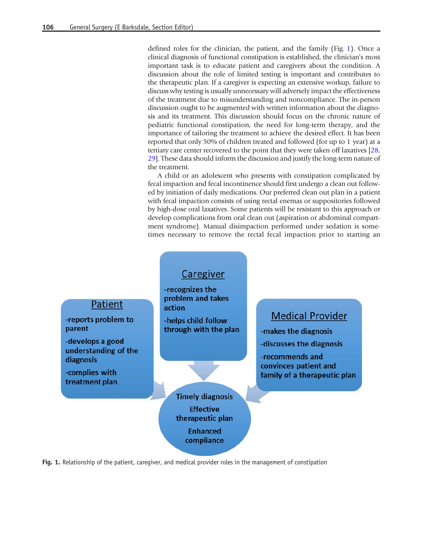defined roles for the clinician, the patient, and the family (Fig. 1). Once a clinical diagnosis of functional constipation is established, the clinician's most important task is to educate patient and caregivers about the condition. A discussion about the role of limited testing is important and contributes to the therapeutic plan. If a caregiver is expecting an extensive workup, failure to discuss why testing is usually unnecessary will adversely impact the effectiveness of the treatment due to misunderstanding and noncompliance. The in-person discussion ought to be augmented with written information about the diagnosis and its treatment. This discussion should focus on the chronic nature of pediatric functional constipation, the need for long-term therapy, and the importance of tailoring the treatment to achieve the desired effect. It has been reported that only 50% of children treated and followed (for up to 1 year) at a tertiary care center recovered to the point that they were taken off laxatives [[28](#page-12-0), [29](#page-13-0)]. These data should inform the discussion and justify the long-term nature of the treatment.

A child or an adolescent who presents with constipation complicated by fecal impaction and fecal incontinence should first undergo a clean out followed by initiation of daily medications. Our preferred clean out plan in a patient with fecal impaction consists of using rectal enemas or suppositories followed by high-dose oral laxatives. Some patients will be resistant to this approach or develop complications from oral clean out (aspiration or abdominal compartment syndrome). Manual disimpaction performed under sedation is sometimes necessary to remove the rectal fecal impaction prior to starting an



Fig. 1. Relationship of the patient, caregiver, and medical provider roles in the management of constipation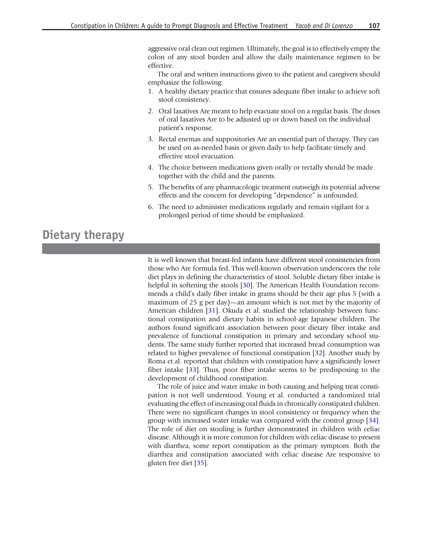aggressive oral clean out regimen. Ultimately, the goal is to effectively empty the colon of any stool burden and allow the daily maintenance regimen to be effective.

The oral and written instructions given to the patient and caregivers should emphasize the following:

- 1. A healthy dietary practice that ensures adequate fiber intake to achieve soft stool consistency.
- 2. Oral laxatives Are meant to help evacuate stool on a regular basis. The doses of oral laxatives Are to be adjusted up or down based on the individual patient's response.
- 3. Rectal enemas and suppositories Are an essential part of therapy. They can be used on as-needed basis or given daily to help facilitate timely and effective stool evacuation.
- 4. The choice between medications given orally or rectally should be made together with the child and the parents.
- 5. The benefits of any pharmacologic treatment outweigh its potential adverse effects and the concern for developing "dependence" is unfounded.
- 6. The need to administer medications regularly and remain vigilant for a prolonged period of time should be emphasized.

#### Dietary therapy

It is well known that breast-fed infants have different stool consistencies from those who Are formula fed. This well-known observation underscores the role diet plays in defining the characteristics of stool. Soluble dietary fiber intake is helpful in softening the stools [\[30](#page-13-0)]. The American Health Foundation recommends a child's daily fiber intake in grams should be their age plus 5 (with a maximum of 25 g per day)—an amount which is not met by the majority of American children [\[31](#page-13-0)]. Okuda et al. studied the relationship between functional constipation and dietary habits in school-age Japanese children. The authors found significant association between poor dietary fiber intake and prevalence of functional constipation in primary and secondary school students. The same study further reported that increased bread consumption was related to higher prevalence of functional constipation [\[32](#page-13-0)]. Another study by Roma et al. reported that children with constipation have a significantly lower fiber intake [\[33](#page-13-0)]. Thus, poor fiber intake seems to be predisposing to the development of childhood constipation.

The role of juice and water intake in both causing and helping treat constipation is not well understood. Young et al. conducted a randomized trial evaluating the effect of increasing oral fluids in chronically constipated children. There were no significant changes in stool consistency or frequency when the group with increased water intake was compared with the control group [\[34](#page-13-0)]. The role of diet on stooling is further demonstrated in children with celiac disease. Although it is more common for children with celiac disease to present with diarrhea, some report constipation as the primary symptom. Both the diarrhea and constipation associated with celiac disease Are responsive to gluten free diet [\[35](#page-13-0)].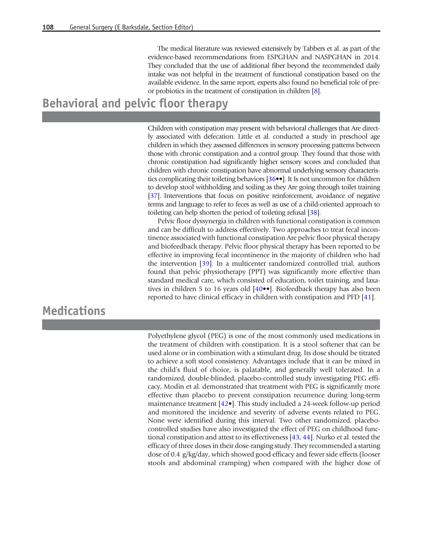The medical literature was reviewed extensively by Tabbers et al. as part of the evidence-based recommendations from ESPGHAN and NASPGHAN in 2014. They concluded that the use of additional fiber beyond the recommended daily intake was not helpful in the treatment of functional constipation based on the available evidence. In the same report, experts also found no beneficial role of preor probiotics in the treatment of constipation in children [\[8](#page-12-0)].

#### Behavioral and pelvic floor therapy

Children with constipation may present with behavioral challenges that Are directly associated with defecation. Little et al. conducted a study in preschool age children in which they assessed differences in sensory processing patterns between those with chronic constipation and a control group. They found that those with chronic constipation had significantly higher sensory scores and concluded that children with chronic constipation have abnormal underlying sensory characteristics complicating their toileting behaviors [\[36](#page-13-0)••]. It Is not uncommon for children to develop stool withholding and soiling as they Are going through toilet training [\[37\]](#page-13-0). Interventions that focus on positive reinforcement, avoidance of negative terms and language to refer to feces as well as use of a child-oriented approach to toileting can help shorten the period of toileting refusal [\[38\]](#page-13-0).

Pelvic floor dyssynergia in children with functional constipation is common and can be difficult to address effectively. Two approaches to treat fecal incontinence associated with functional constipation Are pelvic floor physical therapy and biofeedback therapy. Pelvic floor physical therapy has been reported to be effective in improving fecal incontinence in the majority of children who had the intervention [[39](#page-13-0)]. In a multicenter randomized controlled trial, authors found that pelvic physiotherapy (PPT) was significantly more effective than standard medical care, which consisted of education, toilet training, and laxatives in children 5 to 16 years old [[40](#page-13-0)••]. Biofeedback therapy has also been reported to have clinical efficacy in children with constipation and PFD [\[41\]](#page-13-0).

# Medications

Polyethylene glycol (PEG) is one of the most commonly used medications in the treatment of children with constipation. It is a stool softener that can be used alone or in combination with a stimulant drug. Its dose should be titrated to achieve a soft stool consistency. Advantages include that it can be mixed in the child's fluid of choice, is palatable, and generally well tolerated. In a randomized, double-blinded, placebo-controlled study investigating PEG efficacy, Modin et al. demonstrated that treatment with PEG is significantly more effective than placebo to prevent constipation recurrence during long-term maintenance treatment [\[42](#page-13-0)•]. This study included a 24-week follow-up period and monitored the incidence and severity of adverse events related to PEG. None were identified during this interval. Two other randomized, placebocontrolled studies have also investigated the effect of PEG on childhood functional constipation and attest to its effectiveness [[43,](#page-13-0) [44](#page-13-0)]. Nurko et al. tested the efficacy of three doses in their dose-ranging study. They recommended a starting dose of 0.4 g/kg/day, which showed good efficacy and fewer side effects (looser stools and abdominal cramping) when compared with the higher dose of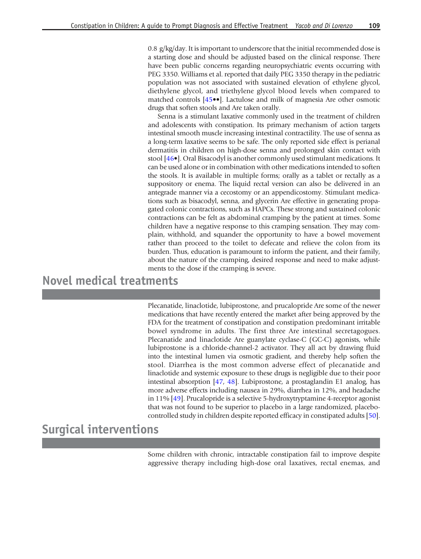0.8 g/kg/day. It is important to underscore that the initial recommended dose is a starting dose and should be adjusted based on the clinical response. There have been public concerns regarding neuropsychiatric events occurring with PEG 3350. Williams et al. reported that daily PEG 3350 therapy in the pediatric population was not associated with sustained elevation of ethylene glycol, diethylene glycol, and triethylene glycol blood levels when compared to matched controls [\[45](#page-13-0)••]. Lactulose and milk of magnesia Are other osmotic drugs that soften stools and Are taken orally.

Senna is a stimulant laxative commonly used in the treatment of children and adolescents with constipation. Its primary mechanism of action targets intestinal smooth muscle increasing intestinal contractility. The use of senna as a long-term laxative seems to be safe. The only reported side effect is perianal dermatitis in children on high-dose senna and prolonged skin contact with stool [\[46](#page-13-0)•]. Oral Bisacodyl is another commonly used stimulant medications. It can be used alone or in combination with other medications intended to soften the stools. It is available in multiple forms; orally as a tablet or rectally as a suppository or enema. The liquid rectal version can also be delivered in an antegrade manner via a cecostomy or an appendicostomy. Stimulant medications such as bisacodyl, senna, and glycerin Are effective in generating propagated colonic contractions, such as HAPCs. These strong and sustained colonic contractions can be felt as abdominal cramping by the patient at times. Some children have a negative response to this cramping sensation. They may complain, withhold, and squander the opportunity to have a bowel movement rather than proceed to the toilet to defecate and relieve the colon from its burden. Thus, education is paramount to inform the patient, and their family, about the nature of the cramping, desired response and need to make adjustments to the dose if the cramping is severe.

# Novel medical treatments

Plecanatide, linaclotide, lubiprostone, and prucalopride Are some of the newer medications that have recently entered the market after being approved by the FDA for the treatment of constipation and constipation predominant irritable bowel syndrome in adults. The first three Are intestinal secretagogues. Plecanatide and linaclotide Are guanylate cyclase-C (GC-C) agonists, while lubiprostone is a chloride-channel-2 activator. They all act by drawing fluid into the intestinal lumen via osmotic gradient, and thereby help soften the stool. Diarrhea is the most common adverse effect of plecanatide and linaclotide and systemic exposure to these drugs is negligible due to their poor intestinal absorption [[47,](#page-13-0) [48\]](#page-13-0). Lubiprostone, a prostaglandin E1 analog, has more adverse effects including nausea in 29%, diarrhea in 12%, and headache in 11% [\[49\]](#page-13-0). Prucalopride is a selective 5-hydroxytryptamine 4-receptor agonist that was not found to be superior to placebo in a large randomized, placebocontrolled study in children despite reported efficacy in constipated adults [\[50](#page-13-0)].

### Surgical interventions

Some children with chronic, intractable constipation fail to improve despite aggressive therapy including high-dose oral laxatives, rectal enemas, and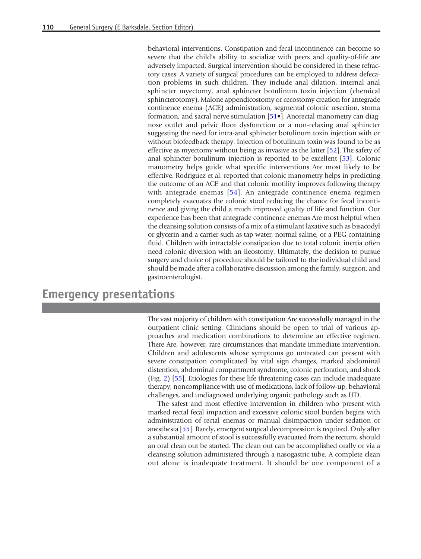behavioral interventions. Constipation and fecal incontinence can become so severe that the child's ability to socialize with peers and quality-of-life are adversely impacted. Surgical intervention should be considered in these refractory cases. A variety of surgical procedures can be employed to address defecation problems in such children. They include anal dilation, internal anal sphincter myectomy, anal sphincter botulinum toxin injection (chemical sphincterotomy), Malone appendicostomy or cecostomy creation for antegrade continence enema (ACE) administration, segmental colonic resection, stoma formation, and sacral nerve stimulation [[51](#page-13-0)•]. Anorectal manometry can diagnose outlet and pelvic floor dysfunction or a non-relaxing anal sphincter suggesting the need for intra-anal sphincter botulinum toxin injection with or without biofeedback therapy. Injection of botulinum toxin was found to be as effective as myectomy without being as invasive as the latter [\[52\]](#page-14-0). The safety of anal sphincter botulinum injection is reported to be excellent [\[53\]](#page-14-0). Colonic manometry helps guide what specific interventions Are most likely to be effective. Rodriguez et al. reported that colonic manometry helps in predicting the outcome of an ACE and that colonic motility improves following therapy with antegrade enemas [[54](#page-14-0)]. An antegrade continence enema regimen completely evacuates the colonic stool reducing the chance for fecal incontinence and giving the child a much improved quality of life and function. Our experience has been that antegrade continence enemas Are most helpful when the cleansing solution consists of a mix of a stimulant laxative such as bisacodyl or glycerin and a carrier such as tap water, normal saline, or a PEG containing fluid. Children with intractable constipation due to total colonic inertia often need colonic diversion with an ileostomy. Ultimately, the decision to pursue surgery and choice of procedure should be tailored to the individual child and should be made after a collaborative discussion among the family, surgeon, and gastroenterologist.

# Emergency presentations

The vast majority of children with constipation Are successfully managed in the outpatient clinic setting. Clinicians should be open to trial of various approaches and medication combinations to determine an effective regimen. There Are, however, rare circumstances that mandate immediate intervention. Children and adolescents whose symptoms go untreated can present with severe constipation complicated by vital sign changes, marked abdominal distention, abdominal compartment syndrome, colonic perforation, and shock (Fig. [2\)](#page-10-0) [[55\]](#page-14-0). Etiologies for these life-threatening cases can include inadequate therapy, noncompliance with use of medications, lack of follow-up, behavioral challenges, and undiagnosed underlying organic pathology such as HD.

The safest and most effective intervention in children who present with marked rectal fecal impaction and excessive colonic stool burden begins with administration of rectal enemas or manual disimpaction under sedation or anesthesia [[55\]](#page-14-0). Rarely, emergent surgical decompression is required. Only after a substantial amount of stool is successfully evacuated from the rectum, should an oral clean out be started. The clean out can be accomplished orally or via a cleansing solution administered through a nasogastric tube. A complete clean out alone is inadequate treatment. It should be one component of a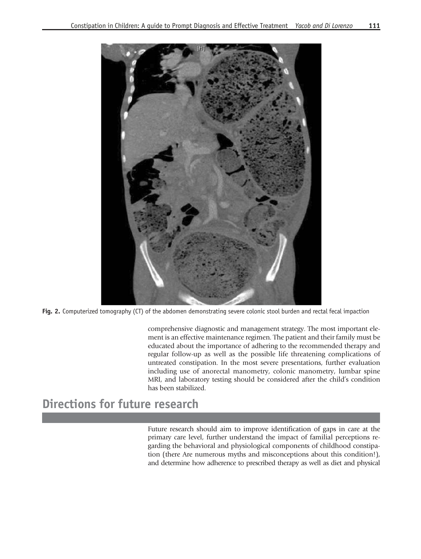<span id="page-10-0"></span>

Fig. 2. Computerized tomography (CT) of the abdomen demonstrating severe colonic stool burden and rectal fecal impaction

comprehensive diagnostic and management strategy. The most important element is an effective maintenance regimen. The patient and their family must be educated about the importance of adhering to the recommended therapy and regular follow-up as well as the possible life threatening complications of untreated constipation. In the most severe presentations, further evaluation including use of anorectal manometry, colonic manometry, lumbar spine MRI, and laboratory testing should be considered after the child's condition has been stabilized.

# Directions for future research

Future research should aim to improve identification of gaps in care at the primary care level, further understand the impact of familial perceptions regarding the behavioral and physiological components of childhood constipation (there Are numerous myths and misconceptions about this condition!), and determine how adherence to prescribed therapy as well as diet and physical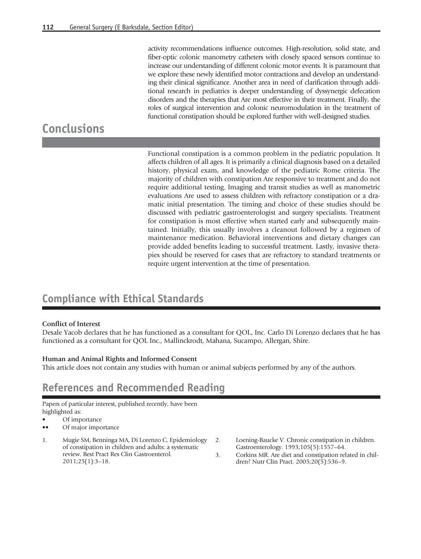activity recommendations influence outcomes. High-resolution, solid state, and fiber-optic colonic manometry catheters with closely spaced sensors continue to increase our understanding of different colonic motor events. It is paramount that we explore these newly identified motor contractions and develop an understanding their clinical significance. Another area in need of clarification through additional research in pediatrics is deeper understanding of dyssynergic defecation disorders and the therapies that Are most effective in their treatment. Finally, the roles of surgical intervention and colonic neuromodulation in the treatment of functional constipation should be explored further with well-designed studies.

# <span id="page-11-0"></span>Conclusions

Functional constipation is a common problem in the pediatric population. It affects children of all ages. It is primarily a clinical diagnosis based on a detailed history, physical exam, and knowledge of the pediatric Rome criteria. The majority of children with constipation Are responsive to treatment and do not require additional testing. Imaging and transit studies as well as manometric evaluations Are used to assess children with refractory constipation or a dramatic initial presentation. The timing and choice of these studies should be discussed with pediatric gastroenterologist and surgery specialists. Treatment for constipation is most effective when started early and subsequently maintained. Initially, this usually involves a cleanout followed by a regimen of maintenance medication. Behavioral interventions and dietary changes can provide added benefits leading to successful treatment. Lastly, invasive therapies should be reserved for cases that are refractory to standard treatments or require urgent intervention at the time of presentation.

#### Compliance with Ethical Standards

#### Conflict of Interest

Desale Yacob declares that he has functioned as a consultant for QOL, Inc. Carlo Di Lorenzo declares that he has functioned as a consultant for QOL Inc., Mallinckrodt, Mahana, Sucampo, Allergan, Shire.

#### Human and Animal Rights and Informed Consent

This article does not contain any studies with human or animal subjects performed by any of the authors.

#### References and Recommended Reading

Papers of particular interest, published recently, have been highlighted as:

- Of importance
- •• Of major importance
- 1. Mugie SM, Benninga MA, Di Lorenzo C. Epidemiology of constipation in children and adults: a systematic review. Best Pract Res Clin Gastroenterol. 2011;25(1):3–18.
- 2. Loening-Baucke V. Chronic constipation in children. Gastroenterology. 1993;105(5):1557–64.
- 3. Corkins MR. Are diet and constipation related in children? Nutr Clin Pract. 2005;20(5):536–9.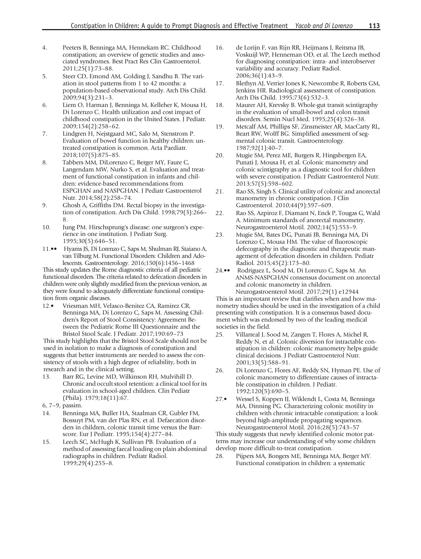- <span id="page-12-0"></span>4. Peeters B, Benninga MA, Hennekam RC. Childhood constipation; an overview of genetic studies and associated syndromes. Best Pract Res Clin Gastroenterol. 2011;25(1):73–88.
- 5. Steer CD, Emond AM, Golding J, Sandhu B. The variation in stool patterns from 1 to 42 months: a population-based observational study. Arch Dis Child. 2009;94(3):231–3.
- 6. Liem O, Harman J, Benninga M, Kelleher K, Mousa H, Di Lorenzo C. Health utilization and cost impact of childhood constipation in the United States. J Pediatr. 2009;154(2):258–62.
- 7. Lindgren H, Nejstgaard MC, Salo M, Stenstrom P. Evaluation of bowel function in healthy children: untreated constipation is common. Acta Paediatr. 2018;107(5):875–85.
- 8. Tabbers MM, DiLorenzo C, Berger MY, Faure C, Langendam MW, Nurko S, et al. Evaluation and treatment of functional constipation in infants and children: evidence-based recommendations from ESPGHAN and NASPGHAN. J Pediatr Gastroenterol Nutr. 2014;58(2):258–74.
- 9. Ghosh A, Griffiths DM. Rectal biopsy in the investigation of constipation. Arch Dis Child. 1998;79(3):266– 8.
- 10. Jung PM. Hirschsprung's disease: one surgeon's experience in one institution. J Pediatr Surg. 1995;30(5):646–51.
- 11.•• Hyams JS, Di Lorenzo C, Saps M, Shulman RJ, Staiano A, van Tilburg M. Functional Disorders: Children and Adolescents. Gastroenterology. 2016;150(6):1456–1468

This study updates the Rome diagnostic criteria of all pediatric functional disorders. The criteria related to defecation disorders in children were only slightly modified from the previous version, as they were found to adequately differentiate functional constipation from organic diseases.

12.• Vriesman MH, Velasco-Benitez CA, Ramirez CR, Benninga MA, Di Lorenzo C, Saps M. Assessing Children's Report of Stool Consistency: Agreement Between the Pediatric Rome III Questionnaire and the Bristol Stool Scale. J Pediatr. 2017;190:69–73

This study highlights that the Bristol Stool Scale should not be used in isolation to make a diagnosis of constipation and suggests that better instruments are needed to assess the consistency of stools with a high degree of reliability, both in research and in the clinical setting.

13. Barr RG, Levine MD, Wilkinson RH, Mulvihill D. Chronic and occult stool retention: a clinical tool for its evaluation in school-aged children. Clin Pediatr (Phila). 1979;18(11):67.

6, 7–9, passim.

- 14. Benninga MA, Buller HA, Staalman CR, Gubler FM, Bossuyt PM, van der Plas RN, et al. Defaecation disorders in children, colonic transit time versus the Barrscore. Eur J Pediatr. 1995;154(4):277–84.
- 15. Leech SC, McHugh K, Sullivan PB. Evaluation of a method of assessing faecal loading on plain abdominal radiographs in children. Pediatr Radiol. 1999;29(4):255–8.
- 16. de Lorijn F, van Rijn RR, Heijmans J, Reitsma JB, Voskuijl WP, Henneman OD, et al. The Leech method for diagnosing constipation: intra- and interobserver variability and accuracy. Pediatr Radiol. 2006;36(1):43–9.
- 17. Blethyn AJ, Verrier Jones K, Newcombe R, Roberts GM, Jenkins HR. Radiological assessment of constipation. Arch Dis Child. 1995;73(6):532–3.
- 18. Maurer AH, Krevsky B. Whole-gut transit scintigraphy in the evaluation of small-bowel and colon transit disorders. Semin Nucl Med. 1995;25(4):326–38.
- 19. Metcalf AM, Phillips SF, Zinsmeister AR, MacCarty RL, Beart RW, Wolff BG. Simplified assessment of segmental colonic transit. Gastroenterology. 1987;92(1):40–7.
- 20. Mugie SM, Perez ME, Burgers R, Hingsbergen EA, Punati J, Mousa H, et al. Colonic manometry and colonic scintigraphy as a diagnostic tool for children with severe constipation. J Pediatr Gastroenterol Nutr. 2013;57(5):598–602.
- 21. Rao SS, Singh S. Clinical utility of colonic and anorectal manometry in chronic constipation. J Clin Gastroenterol. 2010;44(9):597–609.
- 22. Rao SS, Azpiroz F, Diamant N, Enck P, Tougas G, Wald A. Minimum standards of anorectal manometry. Neurogastroenterol Motil. 2002;14(5):553–9.
- 23. Mugie SM, Bates DG, Punati JB, Benninga MA, Di Lorenzo C, Mousa HM. The value of fluoroscopic defecography in the diagnostic and therapeutic management of defecation disorders in children. Pediatr Radiol. 2015;45(2):173–80.
- 24.•• Rodriguez L, Sood M, Di Lorenzo C, Saps M. An ANMS-NASPGHAN consensus document on anorectal and colonic manometry in children. Neurogastroenterol Motil. 2017;29(1) e12944

This is an improtant review that clarifies when and how manometry studies should be used in the investigation of a child presenting with constipation. It is a consensus based document which was endorsed by two of the leading medical societies in the field.

- 25. Villarreal J, Sood M, Zangen T, Flores A, Michel R, Reddy N, et al. Colonic diversion for intractable constipation in children: colonic manometry helps guide clinical decisions. J Pediatr Gastroenterol Nutr. 2001;33(5):588–91.
- 26. Di Lorenzo C, Flores AF, Reddy SN, Hyman PE. Use of colonic manometry to differentiate causes of intractable constipation in children. J Pediatr. 1992;120(5):690–5.
- 27.• Wessel S, Koppen IJ, Wiklendt L, Costa M, Benninga MA, Dinning PG. Characterizing colonic motility in children with chronic intractable constipation: a look beyond high-amplitude propagating sequences. Neurogastroenterol Motil. 2016;28(5):743–57

This study suggests that newly identified colonic motor patterns may increase our understanding of why some children develop more difficult-to-treat constipation.

28. Pijpers MA, Bongers ME, Benninga MA, Berger MY. Functional constipation in children: a systematic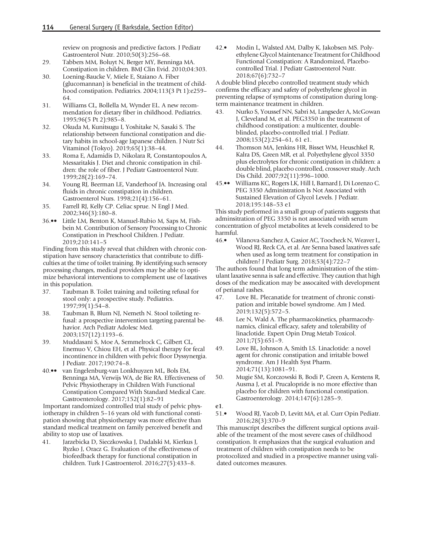review on prognosis and predictive factors. J Pediatr Gastroenterol Nutr. 2010;50(3):256–68.

- <span id="page-13-0"></span>29. Tabbers MM, Boluyt N, Berger MY, Benninga MA. Constipation in children. BMJ Clin Evid. 2010;04:303.
- 30. Loening-Baucke V, Miele E, Staiano A. Fiber (glucomannan) is beneficial in the treatment of childhood constipation. Pediatrics. 2004;113(3 Pt 1):e259– 64.
- 31. Williams CL, Bollella M, Wynder EL. A new recommendation for dietary fiber in childhood. Pediatrics. 1995;96(5 Pt 2):985–8.
- 32. Okuda M, Kunitsugu I, Yoshitake N, Sasaki S. The relationship between functional constipation and dietary habits in school-age Japanese children. J Nutr Sci Vitaminol (Tokyo). 2019;65(1):38–44.
- 33. Roma E, Adamidis D, Nikolara R, Constantopoulos A, Messaritakis J. Diet and chronic constipation in children: the role of fiber. J Pediatr Gastroenterol Nutr. 1999;28(2):169–74.
- 34. Young RJ, Beerman LE, Vanderhoof JA. Increasing oral fluids in chronic constipation in children. Gastroenterol Nurs. 1998;21(4):156–61.
- 35. Farrell RJ, Kelly CP. Celiac sprue. N Engl J Med. 2002;346(3):180–8.
- 36.•• Little LM, Benton K, Manuel-Rubio M, Saps M, Fishbein M. Contribution of Sensory Processing to Chronic Constipation in Preschool Children. J Pediatr. 2019;210:141–5

Finding from this study reveal that children with chronic constipation have sensory characteristics that contribute to difficulties at the time of toilet training. By identifying such sensory processing changes, medical providers may be able to optimize behavioral interventions to complement use of laxatives in this population.

- 37. Taubman B. Toilet training and toileting refusal for stool only: a prospective study. Pediatrics. 1997;99(1):54–8.
- 38. Taubman B, Blum NJ, Nemeth N. Stool toileting refusal: a prospective intervention targeting parental behavior. Arch Pediatr Adolesc Med. 2003;157(12):1193–6.
- 39. Muddasani S, Moe A, Semmelrock C, Gilbert CL, Enemuo V, Chiou EH, et al. Physical therapy for fecal incontinence in children with pelvic floor Dyssynergia. J Pediatr. 2017;190:74–8.
- 40.•• van Engelenburg-van Lonkhuyzen ML, Bols EM, Benninga MA, Verwijs WA, de Bie RA. Effectiveness of Pelvic Physiotherapy in Children With Functional Constipation Compared With Standard Medical Care. Gastroenterology. 2017;152(1):82–91

Important randomized controlled trial study of pelvic physiotherapy in children 5–16 years old with functional constipation showing that physiotherapy was more effective than standard medical treatment on family perceived benefit and ability to stop use of laxatives.

41. Jarzebicka D, Sieczkowska J, Dadalski M, Kierkus J, Ryzko J, Oracz G. Evaluation of the effectiveness of biofeedback therapy for functional constipation in children. Turk J Gastroenterol. 2016;27(5):433–8.

42.• Modin L, Walsted AM, Dalby K, Jakobsen MS. Polyethylene Glycol Maintenance Treatment for Childhood Functional Constipation: A Randomized, Placebocontrolled Trial. J Pediatr Gastroenterol Nutr. 2018;67(6):732–7

A double blind plecebo controlled treatment study which confirms the efficacy and safety of polyethylene glycol in preventing relapse of symptoms of constipation during longterm maintenance treatment in children.

- 43. Nurko S, Youssef NN, Sabri M, Langseder A, McGowan J, Cleveland M, et al. PEG3350 in the treatment of childhood constipation: a multicenter, doubleblinded, placebo-controlled trial. J Pediatr. 2008;153(2):254–61, 61 e1.
- 44. Thomson MA, Jenkins HR, Bisset WM, Heuschkel R, Kalra DS, Green MR, et al. Polyethylene glycol 3350 plus electrolytes for chronic constipation in children: a double blind, placebo controlled, crossover study. Arch Dis Child. 2007;92(11):996–1000.
- 45.•• Williams KC, Rogers LK, Hill I, Barnard J, Di Lorenzo C. PEG 3350 Administration Is Not Associated with Sustained Elevation of Glycol Levels. J Pediatr. 2018;195:148–53 e1

This study performed in a small group of patients suggests that adminsitration of PEG 3350 is not associated with serum concentration of glycol metabolites at levels considered to be harmful.

46.• Vilanova-Sanchez A, Gasior AC, Toocheck N, Weaver L, Wood RJ, Reck CA, et al. Are Senna based laxatives safe when used as long term treatment for constipation in children? J Pediatr Surg. 2018;53(4):722–7

The authors found that long term administration of the stimulant laxative senna is safe and effective. They caution that high doses of the medication may be assocaited with development of perianal rashes.

- 47. Love BL. Plecanatide for treatment of chronic constipation and irritable bowel syndrome. Am J Med. 2019;132(5):572–5.
- 48. Lee N, Wald A. The pharmacokinetics, pharmacodynamics, clinical efficacy, safety and tolerability of linaclotide. Expert Opin Drug Metab Toxicol. 2011;7(5):651–9.
- 49. Love BL, Johnson A, Smith LS. Linaclotide: a novel agent for chronic constipation and irritable bowel syndrome. Am J Health Syst Pharm. 2014;71(13):1081–91.
- 50. Mugie SM, Korczowski B, Bodi P, Green A, Kerstens R, Ausma J, et al. Prucalopride is no more effective than placebo for children with functional constipation. Gastroenterology. 2014;147(6):1285–9.

#### e1.

51.• Wood RJ, Yacob D, Levitt MA, et al. Curr Opin Pediatr. 2016;28(3):370–9

This manuscript describes the different surgical options available of the treament of the most severe cases of childhood constipation. It emphasizes that the surgical evaluation and treatment of children with constipation needs to be protocolized and studied in a prospective manner using validated outcomes measures.